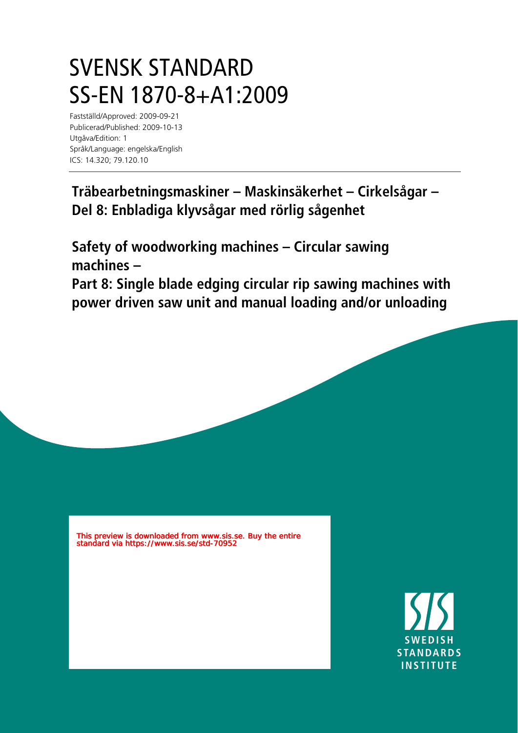## SVENSK STANDARD SS-EN 1870-8+A1:2009

Fastställd/Approved: 2009-09-21 Publicerad/Published: 2009-10-13 Utgåva/Edition: 1 Språk/Language: engelska/English ICS: 14.320; 79.120.10

**Träbearbetningsmaskiner – Maskinsäkerhet – Cirkelsågar – Del 8: Enbladiga klyvsågar med rörlig sågenhet**

**Safety of woodworking machines – Circular sawing machines –**

**Part 8: Single blade edging circular rip sawing machines with power driven saw unit and manual loading and/or unloading**

This preview is downloaded from www.sis.se. Buy the entire standard via https://www.sis.se/std-70952

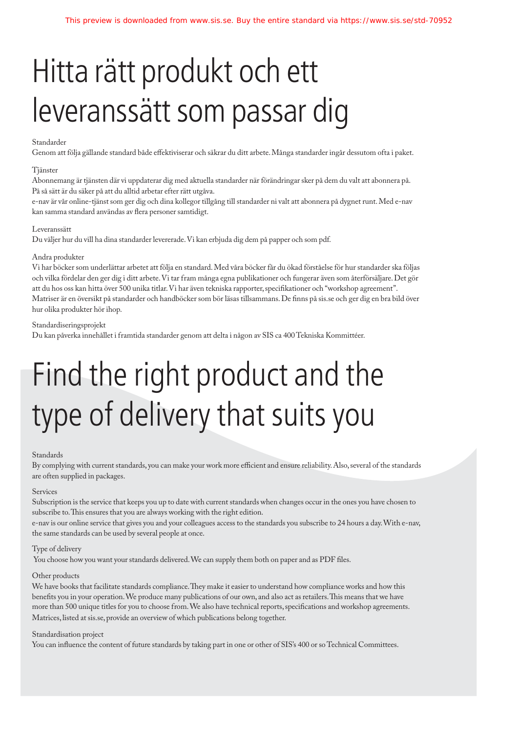## Hitta rätt produkt och ett leveranssätt som passar dig

#### Standarder

Genom att följa gällande standard både effektiviserar och säkrar du ditt arbete. Många standarder ingår dessutom ofta i paket.

#### Tjänster

Abonnemang är tjänsten där vi uppdaterar dig med aktuella standarder när förändringar sker på dem du valt att abonnera på. På så sätt är du säker på att du alltid arbetar efter rätt utgåva.

e-nav är vår online-tjänst som ger dig och dina kollegor tillgång till standarder ni valt att abonnera på dygnet runt. Med e-nav kan samma standard användas av flera personer samtidigt.

#### Leveranssätt

Du väljer hur du vill ha dina standarder levererade. Vi kan erbjuda dig dem på papper och som pdf.

#### Andra produkter

Vi har böcker som underlättar arbetet att följa en standard. Med våra böcker får du ökad förståelse för hur standarder ska följas och vilka fördelar den ger dig i ditt arbete. Vi tar fram många egna publikationer och fungerar även som återförsäljare. Det gör att du hos oss kan hitta över 500 unika titlar. Vi har även tekniska rapporter, specikationer och "workshop agreement". Matriser är en översikt på standarder och handböcker som bör läsas tillsammans. De finns på sis.se och ger dig en bra bild över hur olika produkter hör ihop.

#### Standardiseringsprojekt

Du kan påverka innehållet i framtida standarder genom att delta i någon av SIS ca 400 Tekniska Kommittéer.

# Find the right product and the type of delivery that suits you

#### Standards

By complying with current standards, you can make your work more efficient and ensure reliability. Also, several of the standards are often supplied in packages.

#### Services

Subscription is the service that keeps you up to date with current standards when changes occur in the ones you have chosen to subscribe to. This ensures that you are always working with the right edition.

e-nav is our online service that gives you and your colleagues access to the standards you subscribe to 24 hours a day. With e-nav, the same standards can be used by several people at once.

#### Type of delivery

You choose how you want your standards delivered. We can supply them both on paper and as PDF files.

#### Other products

We have books that facilitate standards compliance. They make it easier to understand how compliance works and how this benefits you in your operation. We produce many publications of our own, and also act as retailers. This means that we have more than 500 unique titles for you to choose from. We also have technical reports, specifications and workshop agreements. Matrices, listed at sis.se, provide an overview of which publications belong together.

#### Standardisation project

You can influence the content of future standards by taking part in one or other of SIS's 400 or so Technical Committees.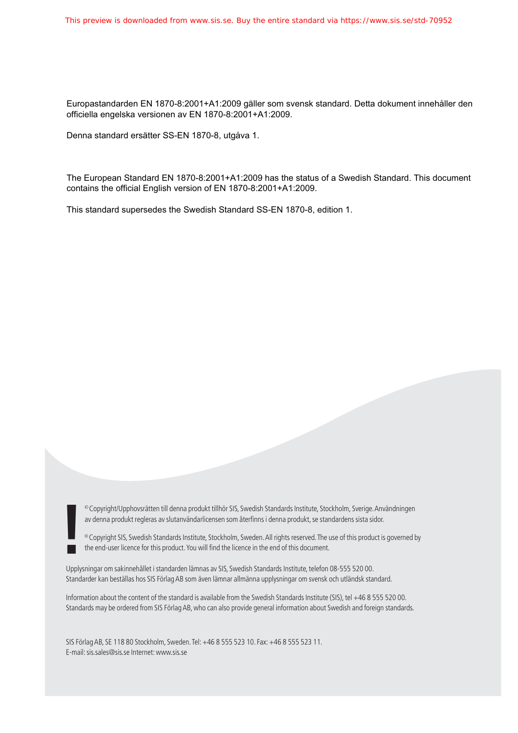Europastandarden EN 1870-8:2001+A1:2009 gäller som svensk standard. Detta dokument innehåller den officiella engelska versionen av EN 1870-8:2001+A1:2009.

Denna standard ersätter SS-EN 1870-8, utgåva 1.

The European Standard EN 1870-8:2001+A1:2009 has the status of a Swedish Standard. This document contains the official English version of EN 1870-8:2001+A1:2009.

This standard supersedes the Swedish Standard SS-EN 1870-8, edition 1.

© Copyright/Upphovsrätten till denna produkt tillhör SIS, Swedish Standards Institute, Stockholm, Sverige. Användningen av denna produkt regleras av slutanvändarlicensen som återfinns i denna produkt, se standardens sista sidor.

© Copyright/Upphovsrätten till denna produkt tillhör SIS, Swedish Standards Institute, Stockholm, Sverige. Användningen<br>av denna produkt regleras av slutanvändarlicensen som återfinns i denna produkt, se standardens sista

Upplysningar om sakinnehållet i standarden lämnas av SIS, Swedish Standards Institute, telefon 08-555 520 00. Standarder kan beställas hos SIS Förlag AB som även lämnar allmänna upplysningar om svensk och utländsk standard.

Information about the content of the standard is available from the Swedish Standards Institute (SIS), tel +46 8 555 520 00. Standards may be ordered from SIS Förlag AB, who can also provide general information about Swedish and foreign standards.

SIS Förlag AB, SE 118 80 Stockholm, Sweden. Tel: +46 8 555 523 10. Fax: +46 8 555 523 11. E-mail: sis.sales@sis.se Internet: www.sis.se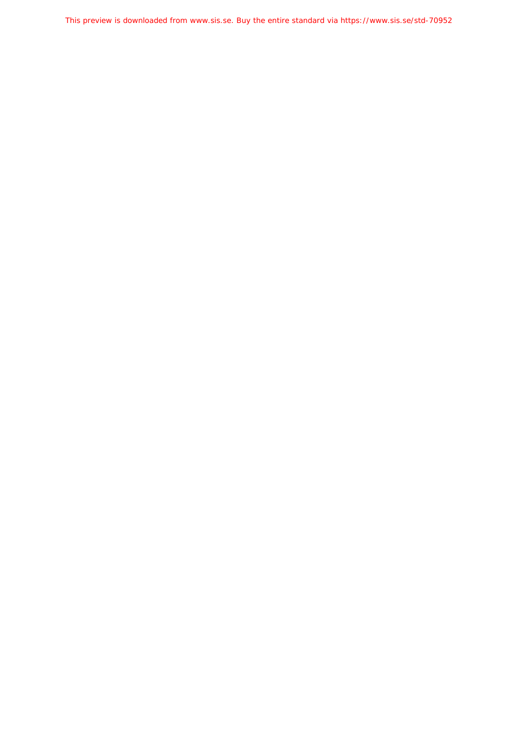This preview is downloaded from www.sis.se. Buy the entire standard via https://www.sis.se/std-70952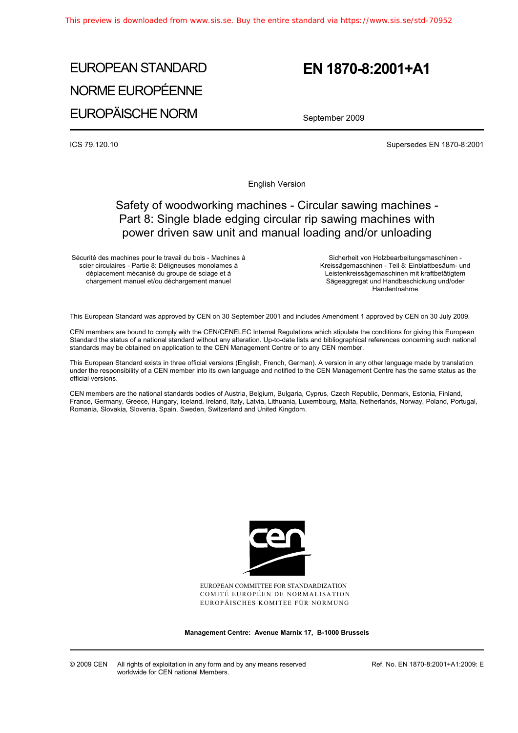## EUROPEAN STANDARD NORME EUROPÉENNE EUROPÄISCHE NORM

### **EN 1870-8:2001+A1**

September 2009

ICS 79.120.10 Supersedes EN 1870-8:2001

English Version

#### Safety of woodworking machines - Circular sawing machines - Part 8: Single blade edging circular rip sawing machines with power driven saw unit and manual loading and/or unloading

Sécurité des machines pour le travail du bois - Machines à scier circulaires - Partie 8: Déligneuses monolames à déplacement mécanisé du groupe de sciage et à chargement manuel et/ou déchargement manuel

 Sicherheit von Holzbearbeitungsmaschinen - Kreissägemaschinen - Teil 8: Einblattbesäum- und Leistenkreissägemaschinen mit kraftbetätigtem Sägeaggregat und Handbeschickung und/oder Handentnahme

This European Standard was approved by CEN on 30 September 2001 and includes Amendment 1 approved by CEN on 30 July 2009.

CEN members are bound to comply with the CEN/CENELEC Internal Regulations which stipulate the conditions for giving this European Standard the status of a national standard without any alteration. Up-to-date lists and bibliographical references concerning such national standards may be obtained on application to the CEN Management Centre or to any CEN member.

This European Standard exists in three official versions (English, French, German). A version in any other language made by translation under the responsibility of a CEN member into its own language and notified to the CEN Management Centre has the same status as the official versions.

CEN members are the national standards bodies of Austria, Belgium, Bulgaria, Cyprus, Czech Republic, Denmark, Estonia, Finland, France, Germany, Greece, Hungary, Iceland, Ireland, Italy, Latvia, Lithuania, Luxembourg, Malta, Netherlands, Norway, Poland, Portugal, Romania, Slovakia, Slovenia, Spain, Sweden, Switzerland and United Kingdom.



EUROPEAN COMMITTEE FOR STANDARDIZATION COMITÉ EUROPÉEN DE NORMALISATION EUROPÄISCHES KOMITEE FÜR NORMUNG

**Management Centre: Avenue Marnix 17, B-1000 Brussels**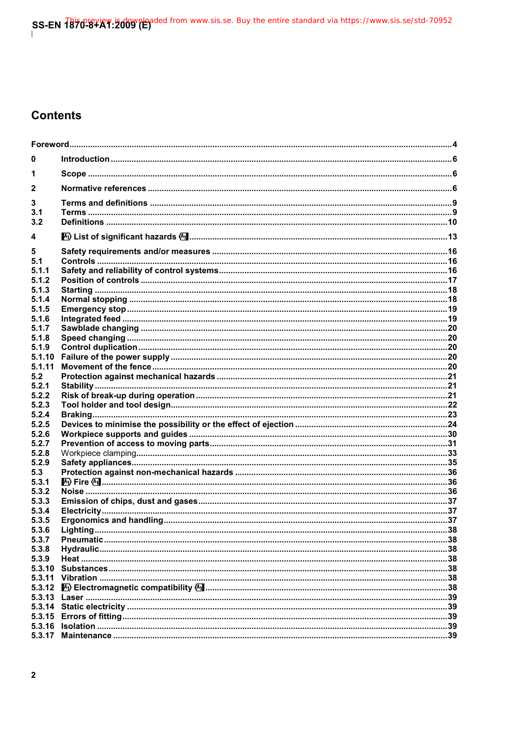SS-EN 1870-8+AY:2009 (E)<br>|<br>|

### **Contents**

| 0            |  |
|--------------|--|
| 1            |  |
| $\mathbf{2}$ |  |
| 3            |  |
| 3.1          |  |
| 3.2          |  |
| 4            |  |
| 5            |  |
| 5.1          |  |
| 5.1.1        |  |
| 5.1.2        |  |
| 5.1.3        |  |
| 5.1.4        |  |
| 5.1.5        |  |
| 5.1.6        |  |
| 5.1.7        |  |
| 5.1.8        |  |
| 5.1.9        |  |
| 5.1.10       |  |
| 5.1.11       |  |
| 5.2          |  |
| 5.2.1        |  |
| 5.2.2        |  |
| 5.2.3        |  |
| 5.2.4        |  |
| 5.2.5        |  |
| 5.2.6        |  |
| 5.2.7        |  |
| 5.2.8        |  |
| 5.2.9        |  |
| 5.3          |  |
| 5.3.1        |  |
| 5.3.2        |  |
| 5.3.3        |  |
| 5.3.4        |  |
| 5.3.5        |  |
| 5.3.6        |  |
| 5.3.7        |  |
| 5.3.8        |  |
| 5.3.9        |  |
| 5.3.10       |  |
| 5.3.11       |  |
| 5.3.12       |  |
|              |  |
|              |  |
| 5.3.15       |  |
| 5.3.16       |  |
| 5.3.17       |  |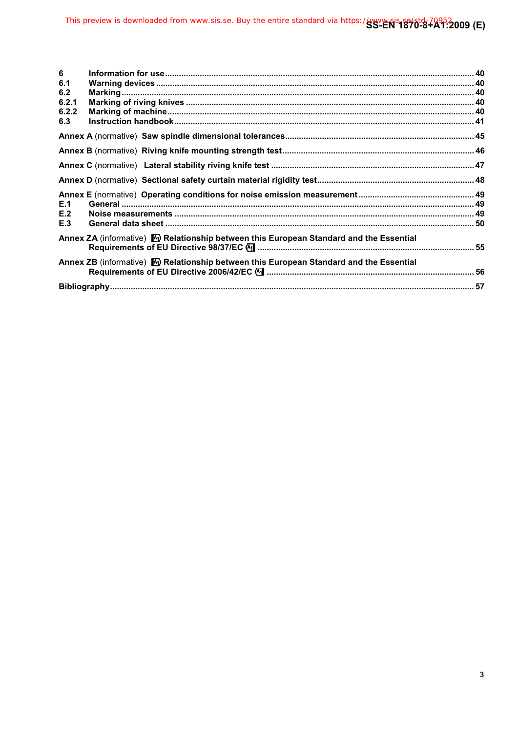| 6<br>6.1<br>6.2<br>6.2.1<br>6.2.2 |                                                                                         |  |
|-----------------------------------|-----------------------------------------------------------------------------------------|--|
| 6.3                               |                                                                                         |  |
|                                   |                                                                                         |  |
|                                   |                                                                                         |  |
|                                   |                                                                                         |  |
|                                   |                                                                                         |  |
| E.1                               |                                                                                         |  |
| E.2                               |                                                                                         |  |
| E.3                               |                                                                                         |  |
|                                   | Annex ZA (informative) Ma Relationship between this European Standard and the Essential |  |
|                                   | Annex ZB (informative) M Relationship between this European Standard and the Essential  |  |
|                                   |                                                                                         |  |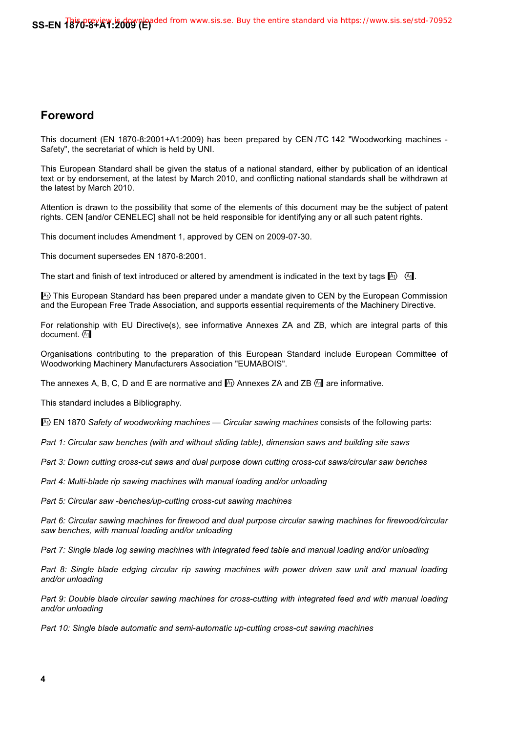#### **Foreword**

This document (EN 1870-8:2001+A1:2009) has been prepared by CEN /TC 142 "Woodworking machines - Safety", the secretariat of which is held by UNI.

This European Standard shall be given the status of a national standard, either by publication of an identical text or by endorsement, at the latest by March 2010, and conflicting national standards shall be withdrawn at the latest by March 2010.

Attention is drawn to the possibility that some of the elements of this document may be the subject of patent rights. CEN [and/or CENELEC] shall not be held responsible for identifying any or all such patent rights.

This document includes Amendment 1, approved by CEN on 2009-07-30.

This document supersedes EN 1870-8:2001.

The start and finish of text introduced or altered by amendment is indicated in the text by tags  $\mathbb{A}_1$ .

 $\mathbb{A}_1$ ) This European Standard has been prepared under a mandate given to CEN by the European Commission and the European Free Trade Association, and supports essential requirements of the Machinery Directive.

For relationship with EU Directive(s), see informative Annexes ZA and ZB, which are integral parts of this document. (41

Organisations contributing to the preparation of this European Standard include European Committee of Woodworking Machinery Manufacturers Association "EUMABOIS".

The annexes A, B, C, D and E are normative and  $\mathbb{A}_1$  Annexes ZA and ZB  $\mathbb{A}_1$  are informative.

This standard includes a Bibliography.

!EN 1870 *Safety of woodworking machines — Circular sawing machines* consists of the following parts:

*Part 1: Circular saw benches (with and without sliding table), dimension saws and building site saws* 

*Part 3: Down cutting cross-cut saws and dual purpose down cutting cross-cut saws/circular saw benches* 

*Part 4: Multi-blade rip sawing machines with manual loading and/or unloading* 

*Part 5: Circular saw -benches/up-cutting cross-cut sawing machines* 

*Part 6: Circular sawing machines for firewood and dual purpose circular sawing machines for firewood/circular saw benches, with manual loading and/or unloading* 

*Part 7: Single blade log sawing machines with integrated feed table and manual loading and/or unloading* 

*Part 8: Single blade edging circular rip sawing machines with power driven saw unit and manual loading and/or unloading* 

*Part 9: Double blade circular sawing machines for cross-cutting with integrated feed and with manual loading and/or unloading* 

*Part 10: Single blade automatic and semi-automatic up-cutting cross-cut sawing machines*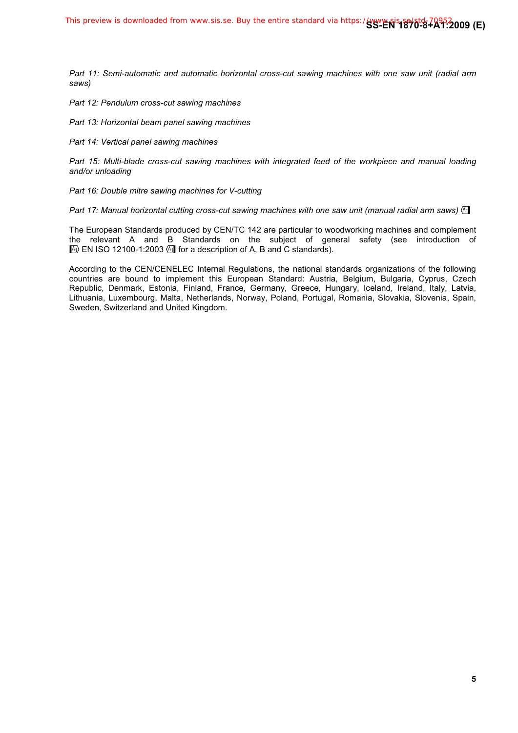*Part 11: Semi-automatic and automatic horizontal cross-cut sawing machines with one saw unit (radial arm saws)* 

*Part 12: Pendulum cross-cut sawing machines* 

*Part 13: Horizontal beam panel sawing machines* 

*Part 14: Vertical panel sawing machines* 

*Part 15: Multi-blade cross-cut sawing machines with integrated feed of the workpiece and manual loading and/or unloading* 

*Part 16: Double mitre sawing machines for V-cutting* 

*Part 17: Manual horizontal cutting cross-cut sawing machines with one saw unit (manual radial arm saws)*"

The European Standards produced by CEN/TC 142 are particular to woodworking machines and complement the relevant A and B Standards on the subject of general safety (see introduction of  $\mathbb{A}_1$ ) EN ISO 12100-1:2003  $\mathbb{A}_1$  for a description of A, B and C standards).

According to the CEN/CENELEC Internal Regulations, the national standards organizations of the following countries are bound to implement this European Standard: Austria, Belgium, Bulgaria, Cyprus, Czech Republic, Denmark, Estonia, Finland, France, Germany, Greece, Hungary, Iceland, Ireland, Italy, Latvia, Lithuania, Luxembourg, Malta, Netherlands, Norway, Poland, Portugal, Romania, Slovakia, Slovenia, Spain, Sweden, Switzerland and United Kingdom.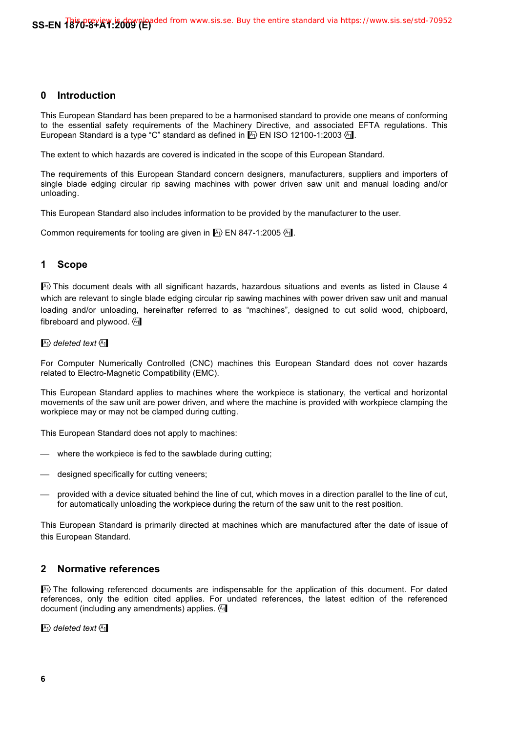#### **0 Introduction**

This European Standard has been prepared to be a harmonised standard to provide one means of conforming to the essential safety requirements of the Machinery Directive, and associated EFTA regulations. This European Standard is a type "C" standard as defined in  $\overline{A_1}$  EN ISO 12100-1:2003  $\overline{A_1}$ .

The extent to which hazards are covered is indicated in the scope of this European Standard.

The requirements of this European Standard concern designers, manufacturers, suppliers and importers of single blade edging circular rip sawing machines with power driven saw unit and manual loading and/or unloading.

This European Standard also includes information to be provided by the manufacturer to the user.

Common requirements for tooling are given in  $A_1$ ) EN 847-1:2005  $A_1$ .

#### **1 Scope**

 $\ket{\mathbb{A}}$  This document deals with all significant hazards, hazardous situations and events as listed in Clause 4 which are relevant to single blade edging circular rip sawing machines with power driven saw unit and manual loading and/or unloading, hereinafter referred to as "machines", designed to cut solid wood, chipboard, fibreboard and plywood.  $\sqrt{41}$ 

#### $A_1$  *deleted text*  $A_1$

For Computer Numerically Controlled (CNC) machines this European Standard does not cover hazards related to Electro-Magnetic Compatibility (EMC).

This European Standard applies to machines where the workpiece is stationary, the vertical and horizontal movements of the saw unit are power driven, and where the machine is provided with workpiece clamping the workpiece may or may not be clamped during cutting.

This European Standard does not apply to machines:

- where the workpiece is fed to the sawblade during cutting;
- designed specifically for cutting veneers;
- provided with a device situated behind the line of cut, which moves in a direction parallel to the line of cut, for automatically unloading the workpiece during the return of the saw unit to the rest position.

This European Standard is primarily directed at machines which are manufactured after the date of issue of this European Standard.

#### **2 Normative references**

 $\mathbb{A}$ ) The following referenced documents are indispensable for the application of this document. For dated references, only the edition cited applies. For undated references, the latest edition of the referenced document (including any amendments) applies.  $(A_1)$ 

 $\overline{A_1}$  deleted text  $\overline{A_1}$